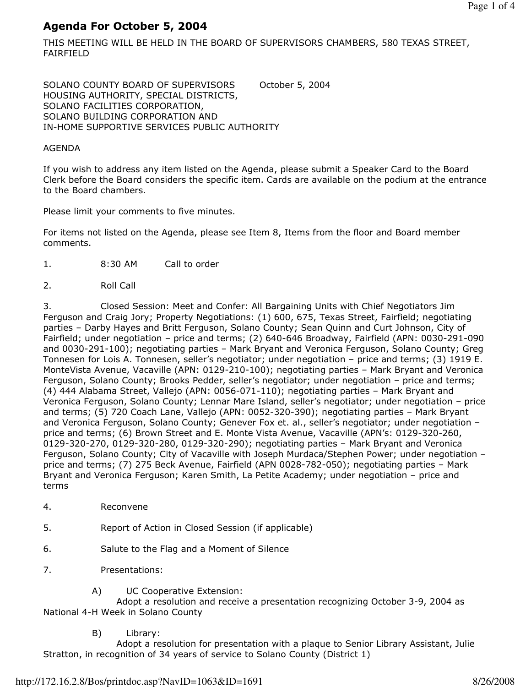# Agenda For October 5, 2004

THIS MEETING WILL BE HELD IN THE BOARD OF SUPERVISORS CHAMBERS, 580 TEXAS STREET, FAIRFIELD

SOLANO COUNTY BOARD OF SUPERVISORS October 5, 2004 HOUSING AUTHORITY, SPECIAL DISTRICTS, SOLANO FACILITIES CORPORATION, SOLANO BUILDING CORPORATION AND IN-HOME SUPPORTIVE SERVICES PUBLIC AUTHORITY

### AGENDA

If you wish to address any item listed on the Agenda, please submit a Speaker Card to the Board Clerk before the Board considers the specific item. Cards are available on the podium at the entrance to the Board chambers.

Please limit your comments to five minutes.

For items not listed on the Agenda, please see Item 8, Items from the floor and Board member comments.

- 1. 8:30 AM Call to order
- 2. Roll Call

3. Closed Session: Meet and Confer: All Bargaining Units with Chief Negotiators Jim Ferguson and Craig Jory; Property Negotiations: (1) 600, 675, Texas Street, Fairfield; negotiating parties – Darby Hayes and Britt Ferguson, Solano County; Sean Quinn and Curt Johnson, City of Fairfield; under negotiation – price and terms; (2) 640-646 Broadway, Fairfield (APN: 0030-291-090 and 0030-291-100); negotiating parties – Mark Bryant and Veronica Ferguson, Solano County; Greg Tonnesen for Lois A. Tonnesen, seller's negotiator; under negotiation – price and terms; (3) 1919 E. MonteVista Avenue, Vacaville (APN: 0129-210-100); negotiating parties – Mark Bryant and Veronica Ferguson, Solano County; Brooks Pedder, seller's negotiator; under negotiation – price and terms; (4) 444 Alabama Street, Vallejo (APN: 0056-071-110); negotiating parties – Mark Bryant and Veronica Ferguson, Solano County; Lennar Mare Island, seller's negotiator; under negotiation – price and terms; (5) 720 Coach Lane, Vallejo (APN: 0052-320-390); negotiating parties – Mark Bryant and Veronica Ferguson, Solano County; Genever Fox et. al., seller's negotiator; under negotiation price and terms; (6) Brown Street and E. Monte Vista Avenue, Vacaville (APN's: 0129-320-260, 0129-320-270, 0129-320-280, 0129-320-290); negotiating parties – Mark Bryant and Veronica Ferguson, Solano County; City of Vacaville with Joseph Murdaca/Stephen Power; under negotiation – price and terms; (7) 275 Beck Avenue, Fairfield (APN 0028-782-050); negotiating parties – Mark Bryant and Veronica Ferguson; Karen Smith, La Petite Academy; under negotiation – price and terms

- 4. Reconvene
- 5. Report of Action in Closed Session (if applicable)
- 6. Salute to the Flag and a Moment of Silence
- 7. Presentations:
	- A) UC Cooperative Extension:

 Adopt a resolution and receive a presentation recognizing October 3-9, 2004 as National 4-H Week in Solano County

B) Library:

 Adopt a resolution for presentation with a plaque to Senior Library Assistant, Julie Stratton, in recognition of 34 years of service to Solano County (District 1)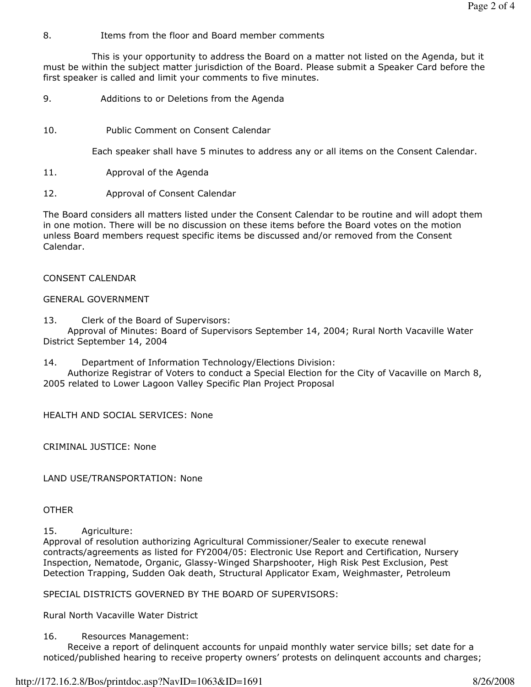## 8. Items from the floor and Board member comments

 This is your opportunity to address the Board on a matter not listed on the Agenda, but it must be within the subject matter jurisdiction of the Board. Please submit a Speaker Card before the first speaker is called and limit your comments to five minutes.

- 9. Additions to or Deletions from the Agenda
- 10. Public Comment on Consent Calendar

Each speaker shall have 5 minutes to address any or all items on the Consent Calendar.

- 11. Approval of the Agenda
- 12. Approval of Consent Calendar

The Board considers all matters listed under the Consent Calendar to be routine and will adopt them in one motion. There will be no discussion on these items before the Board votes on the motion unless Board members request specific items be discussed and/or removed from the Consent Calendar.

CONSENT CALENDAR

## GENERAL GOVERNMENT

13. Clerk of the Board of Supervisors:

 Approval of Minutes: Board of Supervisors September 14, 2004; Rural North Vacaville Water District September 14, 2004

14. Department of Information Technology/Elections Division:

 Authorize Registrar of Voters to conduct a Special Election for the City of Vacaville on March 8, 2005 related to Lower Lagoon Valley Specific Plan Project Proposal

HEALTH AND SOCIAL SERVICES: None

CRIMINAL JUSTICE: None

LAND USE/TRANSPORTATION: None

**OTHER** 

15. Agriculture:

Approval of resolution authorizing Agricultural Commissioner/Sealer to execute renewal contracts/agreements as listed for FY2004/05: Electronic Use Report and Certification, Nursery Inspection, Nematode, Organic, Glassy-Winged Sharpshooter, High Risk Pest Exclusion, Pest Detection Trapping, Sudden Oak death, Structural Applicator Exam, Weighmaster, Petroleum

SPECIAL DISTRICTS GOVERNED BY THE BOARD OF SUPERVISORS:

Rural North Vacaville Water District

16. Resources Management:

 Receive a report of delinquent accounts for unpaid monthly water service bills; set date for a noticed/published hearing to receive property owners' protests on delinquent accounts and charges;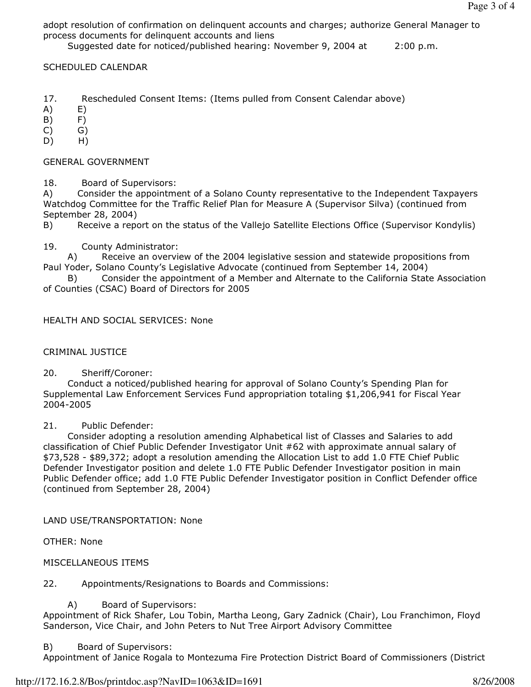adopt resolution of confirmation on delinquent accounts and charges; authorize General Manager to process documents for delinquent accounts and liens

Suggested date for noticed/published hearing: November 9, 2004 at 2:00 p.m.

## SCHEDULED CALENDAR

- 17. Rescheduled Consent Items: (Items pulled from Consent Calendar above)
- A) E)
- B) F)
- $(C)$   $G)$
- D) H)

## GENERAL GOVERNMENT

18. Board of Supervisors:

A) Consider the appointment of a Solano County representative to the Independent Taxpayers Watchdog Committee for the Traffic Relief Plan for Measure A (Supervisor Silva) (continued from September 28, 2004)

B) Receive a report on the status of the Vallejo Satellite Elections Office (Supervisor Kondylis)

19. County Administrator:

 A) Receive an overview of the 2004 legislative session and statewide propositions from Paul Yoder, Solano County's Legislative Advocate (continued from September 14, 2004)

 B) Consider the appointment of a Member and Alternate to the California State Association of Counties (CSAC) Board of Directors for 2005

## HEALTH AND SOCIAL SERVICES: None

### CRIMINAL JUSTICE

20. Sheriff/Coroner:

 Conduct a noticed/published hearing for approval of Solano County's Spending Plan for Supplemental Law Enforcement Services Fund appropriation totaling \$1,206,941 for Fiscal Year 2004-2005

### 21. Public Defender:

 Consider adopting a resolution amending Alphabetical list of Classes and Salaries to add classification of Chief Public Defender Investigator Unit #62 with approximate annual salary of \$73,528 - \$89,372; adopt a resolution amending the Allocation List to add 1.0 FTE Chief Public Defender Investigator position and delete 1.0 FTE Public Defender Investigator position in main Public Defender office; add 1.0 FTE Public Defender Investigator position in Conflict Defender office (continued from September 28, 2004)

LAND USE/TRANSPORTATION: None

OTHER: None

MISCELLANEOUS ITEMS

22. Appointments/Resignations to Boards and Commissions:

### A) Board of Supervisors:

Appointment of Rick Shafer, Lou Tobin, Martha Leong, Gary Zadnick (Chair), Lou Franchimon, Floyd Sanderson, Vice Chair, and John Peters to Nut Tree Airport Advisory Committee

### B) Board of Supervisors:

Appointment of Janice Rogala to Montezuma Fire Protection District Board of Commissioners (District